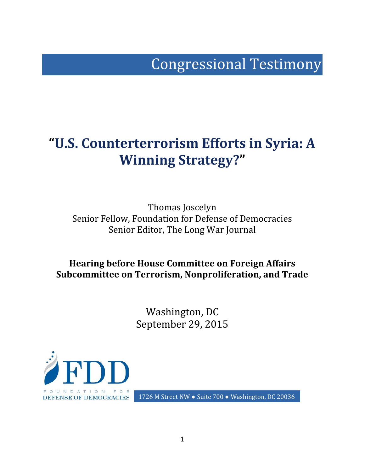# Congressional Testimony

## **"U.S. Counterterrorism Efforts in Syria: A Winning Strategy?"**

Thomas Joscelyn Senior Fellow, Foundation for Defense of Democracies Senior Editor, The Long War Journal

**Hearing before House Committee on Foreign Affairs Subcommittee on Terrorism, Nonproliferation, and Trade**

> Washington, DC September 29, 2015



1726 M Street NW . Suite 700 . Washington, DC 20036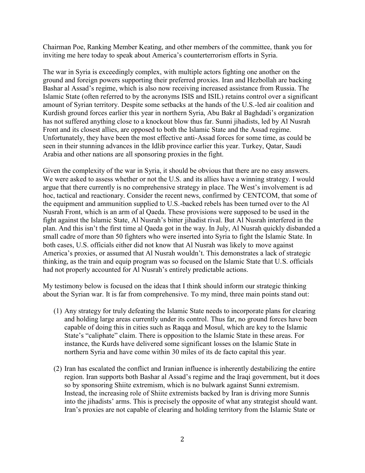Chairman Poe, Ranking Member Keating, and other members of the committee, thank you for inviting me here today to speak about America's counterterrorism efforts in Syria.

The war in Syria is exceedingly complex, with multiple actors fighting one another on the ground and foreign powers supporting their preferred proxies. Iran and Hezbollah are backing Bashar al Assad's regime, which is also now receiving increased assistance from Russia. The Islamic State (often referred to by the acronyms ISIS and ISIL) retains control over a significant amount of Syrian territory. Despite some setbacks at the hands of the U.S.-led air coalition and Kurdish ground forces earlier this year in northern Syria, Abu Bakr al Baghdadi's organization has not suffered anything close to a knockout blow thus far. Sunni jihadists, led by Al Nusrah Front and its closest allies, are opposed to both the Islamic State and the Assad regime. Unfortunately, they have been the most effective anti-Assad forces for some time, as could be seen in their stunning advances in the Idlib province earlier this year. Turkey, Qatar, Saudi Arabia and other nations are all sponsoring proxies in the fight.

Given the complexity of the war in Syria, it should be obvious that there are no easy answers. We were asked to assess whether or not the U.S. and its allies have a winning strategy. I would argue that there currently is no comprehensive strategy in place. The West's involvement is ad hoc, tactical and reactionary. Consider the recent news, confirmed by CENTCOM, that some of the equipment and ammunition supplied to U.S.-backed rebels has been turned over to the Al Nusrah Front, which is an arm of al Qaeda. These provisions were supposed to be used in the fight against the Islamic State, Al Nusrah's bitter jihadist rival. But Al Nusrah interfered in the plan. And this isn't the first time al Qaeda got in the way. In July, Al Nusrah quickly disbanded a small cadre of more than 50 fighters who were inserted into Syria to fight the Islamic State. In both cases, U.S. officials either did not know that Al Nusrah was likely to move against America's proxies, or assumed that Al Nusrah wouldn't. This demonstrates a lack of strategic thinking, as the train and equip program was so focused on the Islamic State that U.S. officials had not properly accounted for Al Nusrah's entirely predictable actions.

My testimony below is focused on the ideas that I think should inform our strategic thinking about the Syrian war. It is far from comprehensive. To my mind, three main points stand out:

- (1) Any strategy for truly defeating the Islamic State needs to incorporate plans for clearing and holding large areas currently under its control. Thus far, no ground forces have been capable of doing this in cities such as Raqqa and Mosul, which are key to the Islamic State's "caliphate" claim. There is opposition to the Islamic State in these areas. For instance, the Kurds have delivered some significant losses on the Islamic State in northern Syria and have come within 30 miles of its de facto capital this year.
- (2) Iran has escalated the conflict and Iranian influence is inherently destabilizing the entire region. Iran supports both Bashar al Assad's regime and the Iraqi government, but it does so by sponsoring Shiite extremism, which is no bulwark against Sunni extremism. Instead, the increasing role of Shiite extremists backed by Iran is driving more Sunnis into the jihadists' arms. This is precisely the opposite of what any strategist should want. Iran's proxies are not capable of clearing and holding territory from the Islamic State or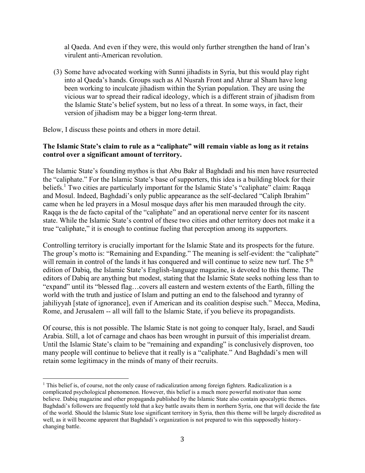al Qaeda. And even if they were, this would only further strengthen the hand of Iran's virulent anti-American revolution.

(3) Some have advocated working with Sunni jihadists in Syria, but this would play right into al Qaeda's hands. Groups such as Al Nusrah Front and Ahrar al Sham have long been working to inculcate jihadism within the Syrian population. They are using the vicious war to spread their radical ideology, which is a different strain of jihadism from the Islamic State's belief system, but no less of a threat. In some ways, in fact, their version of jihadism may be a bigger long-term threat.

Below, I discuss these points and others in more detail.

#### **The Islamic State's claim to rule as a "caliphate" will remain viable as long as it retains control over a significant amount of territory.**

The Islamic State's founding mythos is that Abu Bakr al Baghdadi and his men have resurrected the "caliphate." For the Islamic State's base of supporters, this idea is a building block for their beliefs.<sup>1</sup> Two cities are particularly important for the Islamic State's "caliphate" claim: Raqqa and Mosul. Indeed, Baghdadi's only public appearance as the self-declared "Caliph Ibrahim" came when he led prayers in a Mosul mosque days after his men marauded through the city. Raqqa is the de facto capital of the "caliphate" and an operational nerve center for its nascent state. While the Islamic State's control of these two cities and other territory does not make it a true "caliphate," it is enough to continue fueling that perception among its supporters.

Controlling territory is crucially important for the Islamic State and its prospects for the future. The group's motto is: "Remaining and Expanding." The meaning is self-evident: the "caliphate" will remain in control of the lands it has conquered and will continue to seize new turf. The 5<sup>th</sup> edition of Dabiq, the Islamic State's English-language magazine, is devoted to this theme. The editors of Dabiq are anything but modest, stating that the Islamic State seeks nothing less than to "expand" until its "blessed flag…covers all eastern and western extents of the Earth, filling the world with the truth and justice of Islam and putting an end to the falsehood and tyranny of jahiliyyah [state of ignorance], even if American and its coalition despise such." Mecca, Medina, Rome, and Jerusalem -- all will fall to the Islamic State, if you believe its propagandists.

Of course, this is not possible. The Islamic State is not going to conquer Italy, Israel, and Saudi Arabia. Still, a lot of carnage and chaos has been wrought in pursuit of this imperialist dream. Until the Islamic State's claim to be "remaining and expanding" is conclusively disproven, too many people will continue to believe that it really is a "caliphate." And Baghdadi's men will retain some legitimacy in the minds of many of their recruits.

<sup>&</sup>lt;sup>1</sup> This belief is, of course, not the only cause of radicalization among foreign fighters. Radicalization is a complicated psychological phenomenon. However, this belief is a much more powerful motivator than some believe. Dabiq magazine and other propaganda published by the Islamic State also contain apocalyptic themes. Baghdadi's followers are frequently told that a key battle awaits them in northern Syria, one that will decide the fate of the world. Should the Islamic State lose significant territory in Syria, then this theme will be largely discredited as well, as it will become apparent that Baghdadi's organization is not prepared to win this supposedly history changing battle.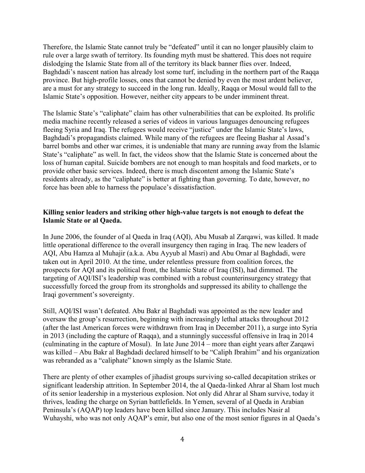Therefore, the Islamic State cannot truly be "defeated" until it can no longer plausibly claim to rule over a large swath of territory. Its founding myth must be shattered. This does not require dislodging the Islamic State from all of the territory its black banner flies over. Indeed, Baghdadi's nascent nation has already lost some turf, including in the northern part of the Raqqa province. But high-profile losses, ones that cannot be denied by even the most ardent believer, are a must for any strategy to succeed in the long run. Ideally, Raqqa or Mosul would fall to the Islamic State's opposition. However, neither city appears to be under imminent threat.

The Islamic State's "caliphate" claim has other vulnerabilities that can be exploited. Its prolific media machine recently released a series of videos in various languages denouncing refugees fleeing Syria and Iraq. The refugees would receive "justice" under the Islamic State's laws, Baghdadi's propagandists claimed. While many of the refugees are fleeing Bashar al Assad's barrel bombs and other war crimes, it is undeniable that many are running away from the Islamic State's "caliphate" as well. In fact, the videos show that the Islamic State is concerned about the loss of human capital. Suicide bombers are not enough to man hospitals and food markets, or to provide other basic services. Indeed, there is much discontent among the Islamic State's residents already, as the "caliphate" is better at fighting than governing. To date, however, no force has been able to harness the populace's dissatisfaction.

#### **Killing senior leaders and striking other high-value targets is not enough to defeat the Islamic State or al Qaeda.**

In June 2006, the founder of al Qaeda in Iraq (AQI), Abu Musab al Zarqawi, was killed. It made little operational difference to the overall insurgency then raging in Iraq. The new leaders of AQI, Abu Hamza al Muhajir (a.k.a. Abu Ayyub al Masri) and Abu Omar al Baghdadi, were taken out in April 2010. At the time, under relentless pressure from coalition forces, the prospects for AQI and its political front, the Islamic State of Iraq (ISI), had dimmed. The targeting of AQI/ISI's leadership was combined with a robust counterinsurgency strategy that successfully forced the group from its strongholds and suppressed its ability to challenge the Iraqi government's sovereignty.

Still, AQI/ISI wasn't defeated. Abu Bakr al Baghdadi was appointed as the new leader and oversaw the group's resurrection, beginning with increasingly lethal attacks throughout 2012 (after the last American forces were withdrawn from Iraq in December 2011), a surge into Syria in 2013 (including the capture of Raqqa), and a stunningly successful offensive in Iraq in 2014 (culminating in the capture of Mosul). In late June 2014 – more than eight years after Zarqawi was killed – Abu Bakr al Baghdadi declared himself to be "Caliph Ibrahim" and his organization was rebranded as a "caliphate" known simply as the Islamic State.

There are plenty of other examples of jihadist groups surviving so-called decapitation strikes or significant leadership attrition. In September 2014, the al Qaeda-linked Ahrar al Sham lost much of its senior leadership in a mysterious explosion. Not only did Ahrar al Sham survive, today it thrives, leading the charge on Syrian battlefields. In Yemen, several of al Qaeda in Arabian Peninsula's (AQAP) top leaders have been killed since January. This includes Nasir al Wuhayshi, who was not only AQAP's emir, but also one of the most senior figures in al Qaeda's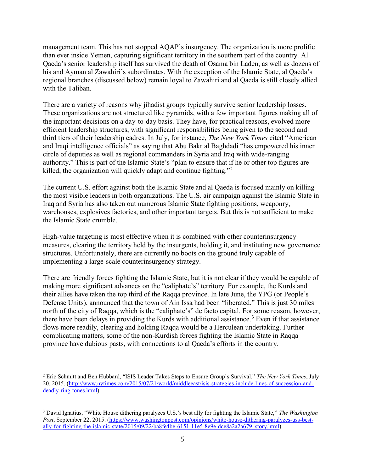management team. This has not stopped AQAP's insurgency. The organization is more prolific than ever inside Yemen, capturing significant territory in the southern part of the country. Al Qaeda's senior leadership itself has survived the death of Osama bin Laden, as well as dozens of his and Ayman al Zawahiri's subordinates. With the exception of the Islamic State, al Qaeda's regional branches (discussed below) remain loyal to Zawahiri and al Qaeda is still closely allied with the Taliban.

There are a variety of reasons why jihadist groups typically survive senior leadership losses. These organizations are not structured like pyramids, with a few important figures making all of the important decisions on a day-to-day basis. They have, for practical reasons, evolved more efficient leadership structures, with significant responsibilities being given to the second and third tiers of their leadership cadres. In July, for instance, *The New York Times* cited "American and Iraqi intelligence officials" as saying that Abu Bakr al Baghdadi "has empowered his inner circle of deputies as well as regional commanders in Syria and Iraq with wide-ranging authority." This is part of the Islamic State's "plan to ensure that if he or other top figures are killed, the organization will quickly adapt and continue fighting."<sup>2</sup>

The current U.S. effort against both the Islamic State and al Qaeda is focused mainly on killing the most visible leaders in both organizations. The U.S. air campaign against the Islamic State in Iraq and Syria has also taken out numerous Islamic State fighting positions, weaponry, warehouses, explosives factories, and other important targets. But this is not sufficient to make the Islamic State crumble.

High-value targeting is most effective when it is combined with other counterinsurgency measures, clearing the territory held by the insurgents, holding it, and instituting new governance structures. Unfortunately, there are currently no boots on the ground truly capable of implementing a large-scale counterinsurgency strategy.

There are friendly forces fighting the Islamic State, but it is not clear if they would be capable of making more significant advances on the "caliphate's" territory. For example, the Kurds and their allies have taken the top third of the Raqqa province. In late June, the YPG (or People's Defense Units), announced that the town of Ain Issa had been "liberated." This is just 30 miles north of the city of Raqqa, which is the "caliphate's" de facto capital. For some reason, however, there have been delays in providing the Kurds with additional assistance.<sup>3</sup> Even if that assistance flows more readily, clearing and holding Raqqa would be a Herculean undertaking. Further complicating matters, some of the non-Kurdish forces fighting the Islamic State in Raqqa province have dubious pasts, with connections to al Qaeda's efforts in the country.

<sup>2</sup> Eric Schmitt and Ben Hubbard, "ISIS Leader Takes Steps to Ensure Group's Survival," *The New York Times*, July 20, 2015. (http://www.nytimes.com/2015/07/21/world/middleeast/isis-strategies-include-lines-of-succession-and deadly-ring-tones.html)

<sup>3</sup> David Ignatius, "White House dithering paralyzes U.S.'s best ally for fighting the Islamic State," *The Washington Post*, September 22, 2015. (https://www.washingtonpost.com/opinions/white-house-dithering-paralyzes-uss-best ally-for-fighting-the-islamic-state/2015/09/22/ba8fe4be-6151-11e5-8e9e-dce8a2a2a679\_story.html)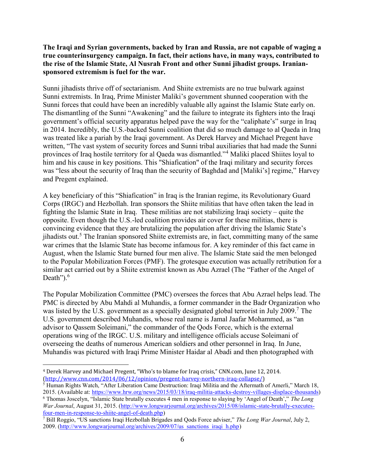**The Iraqi and Syrian governments, backed by Iran and Russia, are not capable of waging a true counterinsurgency campaign. In fact, their actions have, in many ways, contributed to the rise of the Islamic State, Al Nusrah Front and other Sunni jihadist groups. Iranian sponsored extremism is fuel for the war.**

Sunni jihadists thrive off of sectarianism. And Shiite extremists are no true bulwark against Sunni extremists. In Iraq, Prime Minister Maliki's government shunned cooperation with the Sunni forces that could have been an incredibly valuable ally against the Islamic State early on. The dismantling of the Sunni "Awakening" and the failure to integrate its fighters into the Iraqi government's official security apparatus helped pave the way for the "caliphate's" surge in Iraq in 2014. Incredibly, the U.S.-backed Sunni coalition that did so much damage to al Qaeda in Iraq was treated like a pariah by the Iraqi government. As Derek Harvey and Michael Pregent have written, "The vast system of security forces and Sunni tribal auxiliaries that had made the Sunni provinces of Iraq hostile territory for al Qaeda was dismantled."<sup>4</sup> Maliki placed Shiites loyal to him and his cause in key positions. This "Shiafication" of the Iraqi military and security forces was "less about the security of Iraq than the security of Baghdad and [Maliki's] regime," Harvey and Pregent explained.

A key beneficiary of this "Shiafication" in Iraq is the Iranian regime, its Revolutionary Guard Corps (IRGC) and Hezbollah. Iran sponsors the Shiite militias that have often taken the lead in fighting the Islamic State in Iraq. These militias are not stabilizing Iraqi society – quite the opposite. Even though the U.S.-led coalition provides air cover for these militias, there is convincing evidence that they are brutalizing the population after driving the Islamic State's jihadists out.<sup>5</sup> The Iranian sponsored Shiite extremists are, in fact, committing many of the same war crimes that the Islamic State has become infamous for. A key reminder of this fact came in August, when the Islamic State burned four men alive. The Islamic State said the men belonged to the Popular Mobilization Forces (PMF). The grotesque execution was actually retribution for a similar act carried out by a Shiite extremist known as Abu Azrael (The "Father of the Angel of Death"). $6$ 

The Popular Mobilization Committee (PMC) oversees the forces that Abu Azrael helps lead. The PMC is directed by Abu Mahdi al Muhandis, a former commander in the Badr Organization who was listed by the U.S. government as a specially designated global terrorist in July 2009.<sup>7</sup> The U.S. government described Muhandis, whose real name is Jamal Jaafar Mohammed, as "an advisor to Qassem Soleimani," the commander of the Qods Force, which is the external operations wing of the IRGC. U.S. military and intelligence officials accuse Soleimani of overseeing the deaths of numerous American soldiers and other personnel in Iraq. In June, Muhandis was pictured with Iraqi Prime Minister Haidar al Abadi and then photographed with

<sup>4</sup> Derek Harvey and Michael Pregent, "Who's to blame for Iraq crisis," CNN.com, June 12, 2014. (http://www.cnn.com/2014/06/12/opinion/pregent-harvey-northern-iraq-collapse/)

 $5$  Human Rights Watch, "After Liberation Came Destruction: Iraqi Militia and the Aftermath of Amerli," March 18, 2015. (Available at: https://www.hrw.org/news/2015/03/18/iraq-militia-attacks-destroy-villages-displace-thousands)

<sup>6</sup> Thomas Joscelyn, "Islamic State brutally executes 4 men in response to slaying by 'Angel of Death'," *The Long War Journal*, August 31, 2015. (http://www.longwarjournal.org/archives/2015/08/islamic-state-brutally-executesfour-men-in-response-to-shiite-angel-of-death.php)

<sup>7</sup> Bill Roggio, "US sanctions Iraqi Hezbollah Brigades and Qods Force adviser," *The Long War Journal*, July 2, 2009. (http://www.longwarjournal.org/archives/2009/07/us\_sanctions\_iraqi\_h.php)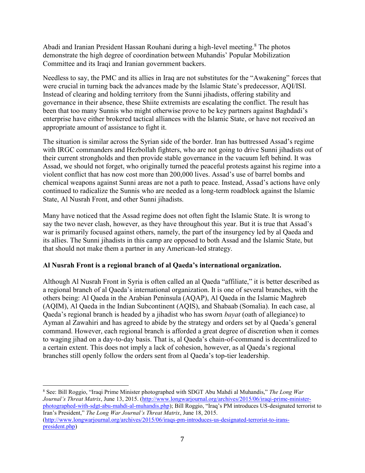Abadi and Iranian President Hassan Rouhani during a high-level meeting.<sup>8</sup> The photos demonstrate the high degree of coordination between Muhandis' Popular Mobilization Committee and its Iraqi and Iranian government backers.

Needless to say, the PMC and its allies in Iraq are not substitutes for the "Awakening" forces that were crucial in turning back the advances made by the Islamic State's predecessor, AQI/ISI. Instead of clearing and holding territory from the Sunni jihadists, offering stability and governance in their absence, these Shiite extremists are escalating the conflict. The result has been that too many Sunnis who might otherwise prove to be key partners against Baghdadi's enterprise have either brokered tactical alliances with the Islamic State, or have not received an appropriate amount of assistance to fight it.

The situation is similar across the Syrian side of the border. Iran has buttressed Assad's regime with IRGC commanders and Hezbollah fighters, who are not going to drive Sunni jihadists out of their current strongholds and then provide stable governance in the vacuum left behind. It was Assad, we should not forget, who originally turned the peaceful protests against his regime into a violent conflict that has now cost more than 200,000 lives. Assad's use of barrel bombs and chemical weapons against Sunni areas are not a path to peace. Instead, Assad's actions have only continued to radicalize the Sunnis who are needed as a long-term roadblock against the Islamic State, Al Nusrah Front, and other Sunni jihadists.

Many have noticed that the Assad regime does not often fight the Islamic State. It is wrong to say the two never clash, however, as they have throughout this year. But it is true that Assad's war is primarily focused against others, namely, the part of the insurgency led by al Qaeda and its allies. The Sunni jihadists in this camp are opposed to both Assad and the Islamic State, but that should not make them a partner in any American-led strategy.

### **Al Nusrah Front is a regional branch of al Qaeda's international organization.**

Although Al Nusrah Front in Syria is often called an al Qaeda "affiliate," it is better described as a regional branch of al Qaeda's international organization. It is one of several branches, with the others being: Al Qaeda in the Arabian Peninsula (AQAP), Al Qaeda in the Islamic Maghreb (AQIM), Al Qaeda in the Indian Subcontinent (AQIS), and Shabaab (Somalia). In each case, al Qaeda's regional branch is headed by a jihadist who has sworn *bayat* (oath of allegiance) to Ayman al Zawahiri and has agreed to abide by the strategy and orders set by al Qaeda's general command. However, each regional branch is afforded a great degree of discretion when it comes to waging jihad on a day-to-day basis. That is, al Qaeda's chain-of-command is decentralized to a certain extent. This does not imply a lack of cohesion, however, as al Qaeda's regional branches still openly follow the orders sent from al Qaeda's top-tier leadership.

<sup>8</sup> See: Bill Roggio, "Iraqi Prime Minister photographed with SDGT Abu Mahdi al Muhandis," *The Long War Journal's Threat Matrix*, June 13, 2015. (http://www.longwarjournal.org/archives/2015/06/iraqi-prime-minister photographed-with-sdgt-abu-mahdi-al-muhandis.php); Bill Roggio, "Iraq's PM introduces US-designated terrorist to Iran's President," *The Long War Journal's Threat Matrix*, June 18, 2015. (http://www.longwarjournal.org/archives/2015/06/iraqs-pm-introduces-us-designated-terrorist-to-irans president.php)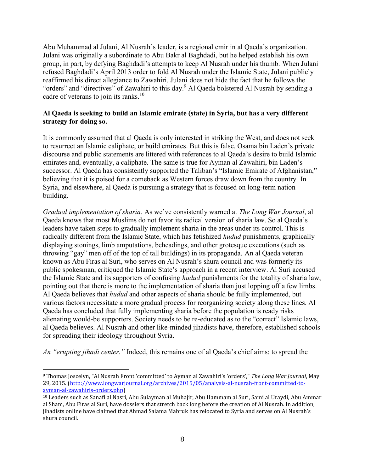Abu Muhammad al Julani, Al Nusrah's leader, is a regional emir in al Qaeda's organization. Julani was originally a subordinate to Abu Bakr al Baghdadi, but he helped establish his own group, in part, by defying Baghdadi's attempts to keep Al Nusrah under his thumb. When Julani refused Baghdadi's April 2013 order to fold Al Nusrah under the Islamic State, Julani publicly reaffirmed his direct allegiance to Zawahiri. Julani does not hide the fact that he follows the "orders" and "directives" of Zawahiri to this day.<sup>9</sup> Al Qaeda bolstered Al Nusrah by sending a cadre of veterans to join its ranks.<sup>10</sup>

#### **Al Qaeda is seeking to build an Islamic emirate (state) in Syria, but has a very different strategy for doing so.**

It is commonly assumed that al Qaeda is only interested in striking the West, and does not seek to resurrect an Islamic caliphate, or build emirates. But this is false. Osama bin Laden's private discourse and public statements are littered with references to al Qaeda's desire to build Islamic emirates and, eventually, a caliphate. The same is true for Ayman al Zawahiri, bin Laden's successor. Al Qaeda has consistently supported the Taliban's "Islamic Emirate of Afghanistan," believing that it is poised for a comeback as Western forces draw down from the country. In Syria, and elsewhere, al Qaeda is pursuing a strategy that is focused on long-term nation building.

*Gradual implementation of sharia*. As we've consistently warned at *The Long War Journal*, al Qaeda knows that most Muslims do not favor its radical version of sharia law. So al Qaeda's leaders have taken steps to gradually implement sharia in the areas under its control. This is radically different from the Islamic State, which has fetishized *hudud* punishments, graphically displaying stonings, limb amputations, beheadings, and other grotesque executions (such as throwing "gay" men off of the top of tall buildings) in its propaganda. An al Qaeda veteran known as Abu Firas al Suri, who serves on Al Nusrah's shura council and was formerly its public spokesman, critiqued the Islamic State's approach in a recent interview. Al Suri accused the Islamic State and its supporters of confusing *hudud* punishments for the totality of sharia law, pointing out that there is more to the implementation of sharia than just lopping off a few limbs. Al Qaeda believes that *hudud* and other aspects of sharia should be fully implemented, but various factors necessitate a more gradual process for reorganizing society along these lines. Al Qaeda has concluded that fully implementing sharia before the population is ready risks alienating would-be supporters. Society needs to be re-educated as to the "correct" Islamic laws, al Qaeda believes. Al Nusrah and other like-minded jihadists have, therefore, established schools for spreading their ideology throughout Syria.

*An "erupting jihadi center."* Indeed, this remains one of al Qaeda's chief aims: to spread the

<sup>9</sup> Thomas Joscelyn, "Al Nusrah Front 'committed' to Ayman al Zawahiri's 'orders'," *The Long War Journal*, May 29, 2015. (http://www.longwarjournal.org/archives/2015/05/analysis-al-nusrah-front-committed-to ayman-al-zawahiris-orders.php)

<sup>10</sup> Leaders such as Sanafi al Nasri, Abu Sulayman al Muhajir, Abu Hammam al Suri, Sami al Uraydi, Abu Ammar al Sham, Abu Firas al Suri, have dossiers that stretch back long before the creation of Al Nusrah. In addition, jihadists online have claimed that Ahmad Salama Mabruk has relocated to Syria and serves on Al Nusrah's shura council.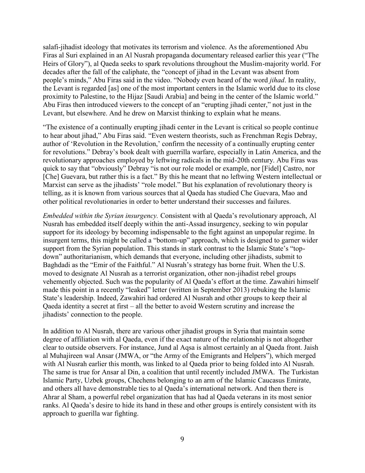salafi-jihadist ideology that motivates its terrorism and violence. As the aforementioned Abu Firas al Suri explained in an Al Nusrah propaganda documentary released earlier this year ("The Heirs of Glory"), al Qaeda seeks to spark revolutions throughout the Muslim-majority world. For decades after the fall of the caliphate, the "concept of jihad in the Levant was absent from people's minds," Abu Firas said in the video. "Nobody even heard of the word *jihad*. In reality, the Levant is regarded [as] one of the most important centers in the Islamic world due to its close proximity to Palestine, to the Hijaz [Saudi Arabia] and being in the center of the Islamic world." Abu Firas then introduced viewers to the concept of an "erupting jihadi center," not just in the Levant, but elsewhere. And he drew on Marxist thinking to explain what he means.

"The existence of a continually erupting jihadi center in the Levant is critical so people continue to hear about jihad," Abu Firas said. "Even western theorists, such as Frenchman Regis Debray, author of 'Revolution in the Revolution,' confirm the necessity of a continually erupting center for revolutions." Debray's book dealt with guerrilla warfare, especially in Latin America, and the revolutionary approaches employed by leftwing radicals in the mid-20th century. Abu Firas was quick to say that "obviously" Debray "is not our role model or example, nor [Fidel] Castro, nor [Che] Guevara, but rather this is a fact." By this he meant that no leftwing Western intellectual or Marxist can serve as the jihadists' "role model." But his explanation of revolutionary theory is telling, as it is known from various sources that al Qaeda has studied Che Guevara, Mao and other political revolutionaries in order to better understand their successes and failures.

*Embedded within the Syrian insurgency.* Consistent with al Qaeda's revolutionary approach, Al Nusrah has embedded itself deeply within the anti-Assad insurgency, seeking to win popular support for its ideology by becoming indispensable to the fight against an unpopular regime. In insurgent terms, this might be called a "bottom-up" approach, which is designed to garner wider support from the Syrian population. This stands in stark contrast to the Islamic State's "top down" authoritarianism, which demands that everyone, including other jihadists, submit to Baghdadi as the "Emir of the Faithful." Al Nusrah's strategy has borne fruit. When the U.S. moved to designate Al Nusrah as a terrorist organization, other non-jihadist rebel groups vehemently objected. Such was the popularity of Al Qaeda's effort at the time. Zawahiri himself made this point in a recently "leaked" letter (written in September 2013) rebuking the Islamic State's leadership. Indeed, Zawahiri had ordered Al Nusrah and other groups to keep their al Qaeda identity a secret at first – all the better to avoid Western scrutiny and increase the jihadists' connection to the people.

In addition to Al Nusrah, there are various other jihadist groups in Syria that maintain some degree of affiliation with al Qaeda, even if the exact nature of the relationship is not altogether clear to outside observers. For instance, Jund al Aqsa is almost certainly an al Qaeda front. Jaish al Muhajireen wal Ansar (JMWA, or "the Army of the Emigrants and Helpers"), which merged with Al Nusrah earlier this month, was linked to al Qaeda prior to being folded into Al Nusrah. The same is true for Ansar al Din, a coalition that until recently included JMWA. The Turkistan Islamic Party, Uzbek groups, Chechens belonging to an arm of the Islamic Caucasus Emirate, and others all have demonstrable ties to al Qaeda's international network. And then there is Ahrar al Sham, a powerful rebel organization that has had al Qaeda veterans in its most senior ranks. Al Qaeda's desire to hide its hand in these and other groups is entirely consistent with its approach to guerilla war fighting.